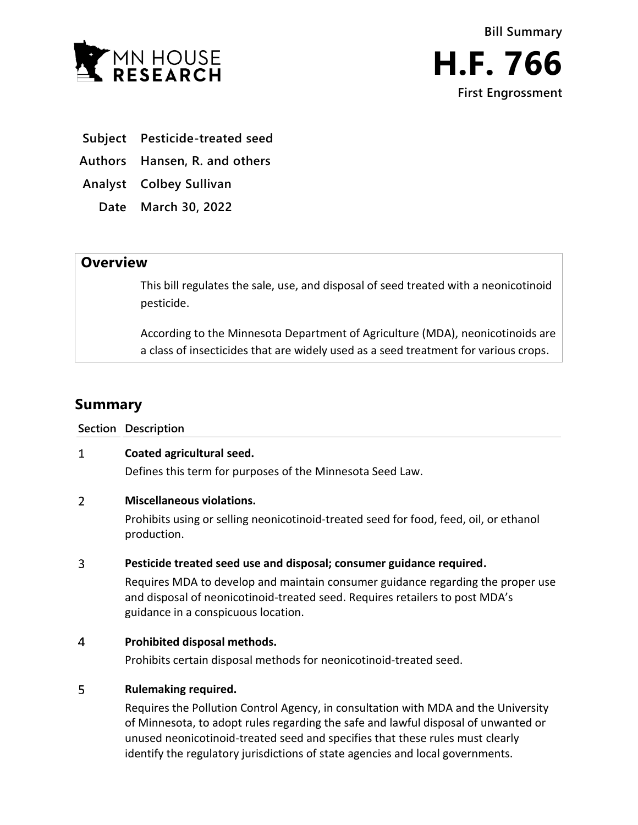

- **Subject Pesticide-treated seed**
- **Authors Hansen, R. and others**
- **Analyst Colbey Sullivan**
	- **Date March 30, 2022**

## **Overview**

This bill regulates the sale, use, and disposal of seed treated with a neonicotinoid pesticide.

According to the Minnesota Department of Agriculture (MDA), neonicotinoids are a class of insecticides that are widely used as a seed treatment for various crops.

# **Summary**

### **Section Description**

#### $\mathbf{1}$ **Coated agricultural seed.**

Defines this term for purposes of the Minnesota Seed Law.

#### $\overline{2}$ **Miscellaneous violations.**

Prohibits using or selling neonicotinoid-treated seed for food, feed, oil, or ethanol production.

#### $\overline{3}$ **Pesticide treated seed use and disposal; consumer guidance required.**

Requires MDA to develop and maintain consumer guidance regarding the proper use and disposal of neonicotinoid-treated seed. Requires retailers to post MDA's guidance in a conspicuous location.

#### $\overline{4}$ **Prohibited disposal methods.**

Prohibits certain disposal methods for neonicotinoid-treated seed.

#### 5 **Rulemaking required.**

Requires the Pollution Control Agency, in consultation with MDA and the University of Minnesota, to adopt rules regarding the safe and lawful disposal of unwanted or unused neonicotinoid-treated seed and specifies that these rules must clearly identify the regulatory jurisdictions of state agencies and local governments.